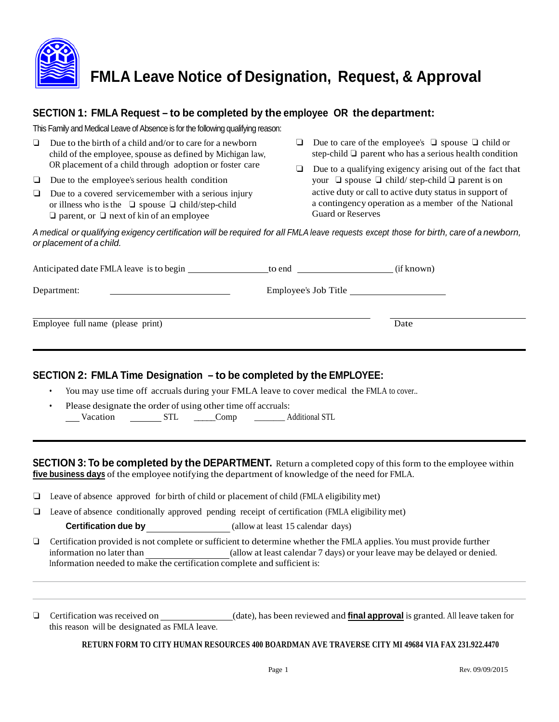

# **FMLA Leave Notice of Designation, Request, & Approval**

## **SECTION 1: FMLA Request – to be completed by the employee OR the department:**

This Family and Medical Leave of Absence is for the following qualifying reason:

- ❏ Due to the birth of a child and/or to care for a newborn child of the employee, spouse as defined by Michigan law, OR placement of a child through adoption or foster care
- ❏ Due to the employee's serious health condition
- ❏ Due to a covered servicemember with a serious injury or illness who isthe ❏ spouse ❏ child/step-child ❏ parent, or ❏ next of kin of an employee
- ❏ Due to care of the employee's ❏ spouse ❏ child or step-child ❏ parent who has a serious health condition
- ❏ Due to a qualifying exigency arising out of the fact that your ❏ spouse ❏ child/ step-child ❏ parent is on active duty or call to active duty status in support of a contingency operation as a member of the National Guard or Reserves

A medical or qualifying exigency certification will be required for all FMLA leave requests except those for birth, care of a newborn, *or placement of a child.*

| Anticipated date FMLA leave is to begin | to end               | (if known) |
|-----------------------------------------|----------------------|------------|
| Department:                             | Employee's Job Title |            |
| Employee full name (please print)       |                      | Date       |

## **SECTION 2: FMLA Time Designation – to be completed by the EMPLOYEE:**

- You may use time off accruals during your FMLA leave to cover medical the FMLA to cover..
- Please designate the order of using other time off accruals:<br>
Vacation STL Comp Comp Additional STL

**SECTION 3: To be completed by the DEPARTMENT.** Return a completed copy of this form to the employee within **five business days** of the employee notifying the department of knowledge of the need for FMLA.

- ❏ Leave of absence approved for birth of child or placement of child (FMLA eligibility met)
- ❏ Leave of absence conditionally approved pending receipt of certification (FMLA eligibility met)

**Certification due by** (allow at least 15 calendar days)

❏ Certification provided is not complete or sufficient to determine whether the FMLA applies. You must provide further information no later than (allow at least calendar 7 days) or your leave may be delayed or denied. Information needed to make the certification complete and sufficient is:

❏ Certification was received on (date), has been reviewed and **final approval** is granted. All leave taken for this reason will be designated as FMLA leave.

**RETURN FORM TO CITY HUMAN RESOURCES 400 BOARDMAN AVE TRAVERSE CITY MI 49684 VIA FAX 231.922.4470**